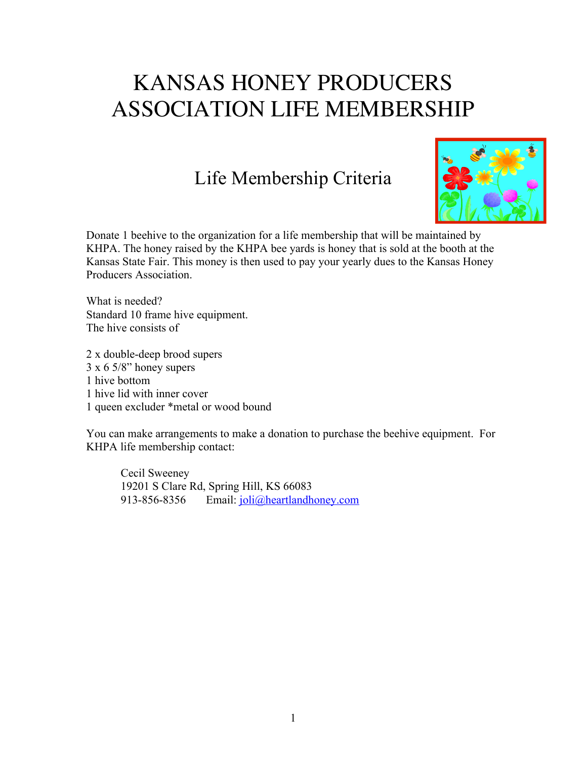## KANSAS HONEY PRODUCERS ASSOCIATION LIFE MEMBERSHIP

## Life Membership Criteria



Donate 1 beehive to the organization for a life membership that will be maintained by KHPA. The honey raised by the KHPA bee yards is honey that is sold at the booth at the Kansas State Fair. This money is then used to pay your yearly dues to the Kansas Honey Producers Association.

What is needed? Standard 10 frame hive equipment. The hive consists of

2 x double-deep brood supers 3 x 6 5/8" honey supers 1 hive bottom 1 hive lid with inner cover 1 queen excluder \*metal or wood bound

You can make arrangements to make a donation to purchase the beehive equipment. For KHPA life membership contact:

Cecil Sweeney 19201 S Clare Rd, Spring Hill, KS 66083 913-856-8356 Email: joli@heartlandhoney.com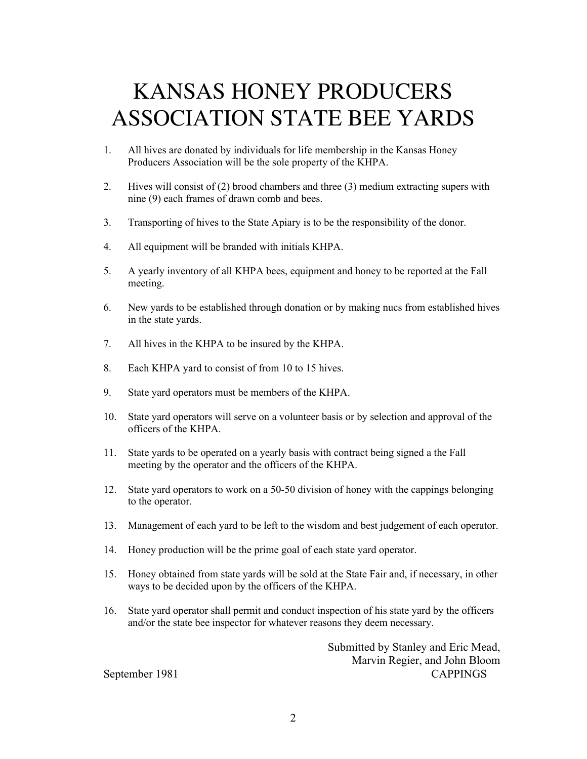## KANSAS HONEY PRODUCERS ASSOCIATION STATE BEE YARDS

- 1. All hives are donated by individuals for life membership in the Kansas Honey Producers Association will be the sole property of the KHPA.
- 2. Hives will consist of (2) brood chambers and three (3) medium extracting supers with nine (9) each frames of drawn comb and bees.
- 3. Transporting of hives to the State Apiary is to be the responsibility of the donor.
- 4. All equipment will be branded with initials KHPA.
- 5. A yearly inventory of all KHPA bees, equipment and honey to be reported at the Fall meeting.
- 6. New yards to be established through donation or by making nucs from established hives in the state yards.
- 7. All hives in the KHPA to be insured by the KHPA.
- 8. Each KHPA yard to consist of from 10 to 15 hives.
- 9. State yard operators must be members of the KHPA.
- 10. State yard operators will serve on a volunteer basis or by selection and approval of the officers of the KHPA.
- 11. State yards to be operated on a yearly basis with contract being signed a the Fall meeting by the operator and the officers of the KHPA.
- 12. State yard operators to work on a 50-50 division of honey with the cappings belonging to the operator.
- 13. Management of each yard to be left to the wisdom and best judgement of each operator.
- 14. Honey production will be the prime goal of each state yard operator.
- 15. Honey obtained from state yards will be sold at the State Fair and, if necessary, in other ways to be decided upon by the officers of the KHPA.
- 16. State yard operator shall permit and conduct inspection of his state yard by the officers and/or the state bee inspector for whatever reasons they deem necessary.

Submitted by Stanley and Eric Mead, Marvin Regier, and John Bloom September 1981 CAPPINGS